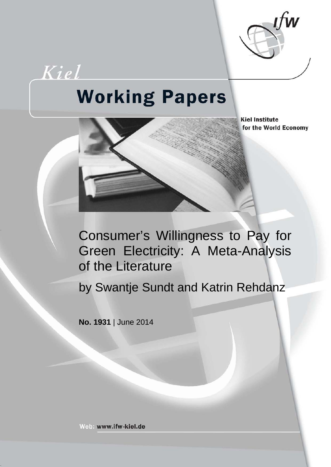

# Kiel **Working Papers**



**Kiel Institute** for the World Economy

Consumer's Willingness to Pay for Green Electricity: A Meta-Analysis of the Literature

by Swantje Sundt and Katrin Rehdanz

**No. 1931** | June 2014

Web: www.ifw-kiel.de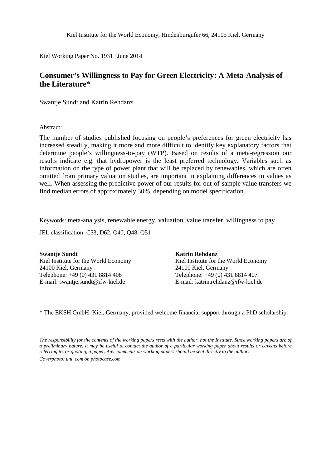Kiel Working Paper No. 1931 | June 2014

# **Consumer's Willingness to Pay for Green Electricity: A Meta-Analysis of the Literature\***

Swantje Sundt and Katrin Rehdanz

Abstract:

The number of studies published focusing on people's preferences for green electricity has increased steadily, making it more and more difficult to identify key explanatory factors that determine people's willingness-to-pay (WTP). Based on results of a meta-regression our results indicate e.g. that hydropower is the least preferred technology. Variables such as information on the type of power plant that will be replaced by renewables, which are often omitted from primary valuation studies, are important in explaining differences in values as well. When assessing the predictive power of our results for out-of-sample value transfers we find median errors of approximately 30%, depending on model specification.

Keywords: meta-analysis, renewable energy, valuation, value transfer, willingness to pay

JEL classification: C53, D62, Q40, Q48, Q51

**Swantje Sundt** Kiel Institute for the World Economy 24100 Kiel, Germany Telephone: +49 (0) 431 8814 408 E-mail: swantje.sundt@ifw-kiel.de

\_\_\_\_\_\_\_\_\_\_\_\_\_\_\_\_\_\_\_\_\_\_\_\_\_\_\_\_\_\_\_\_\_\_\_\_

**Katrin Rehdanz** Kiel Institute for the World Economy 24100 Kiel, Germany Telephone: +49 (0) 431 8814 407 E-mail: katrin.rehdanz@ifw-kiel.de

\* The EKSH GmbH, Kiel, Germany, provided welcome financial support through a PhD scholarship.

*The responsibility for the contents of the working papers rests with the author, not the Institute. Since working papers are of a preliminary nature, it may be useful to contact the author of a particular working paper about results or caveats before referring to, or quoting, a paper. Any comments on working papers should be sent directly to the author. Coverphoto: uni\_com on photocase.com*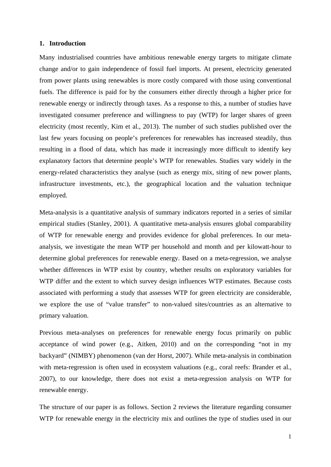# **1. Introduction**

Many industrialised countries have ambitious renewable energy targets to mitigate climate change and/or to gain independence of fossil fuel imports. At present, electricity generated from power plants using renewables is more costly compared with those using conventional fuels. The difference is paid for by the consumers either directly through a higher price for renewable energy or indirectly through taxes. As a response to this, a number of studies have investigated consumer preference and willingness to pay (WTP) for larger shares of green electricity (most recently, Kim et al., 2013). The number of such studies published over the last few years focusing on people's preferences for renewables has increased steadily, thus resulting in a flood of data, which has made it increasingly more difficult to identify key explanatory factors that determine people's WTP for renewables. Studies vary widely in the energy-related characteristics they analyse (such as energy mix, siting of new power plants, infrastructure investments, etc.), the geographical location and the valuation technique employed.

Meta-analysis is a quantitative analysis of summary indicators reported in a series of similar empirical studies (Stanley, 2001). A quantitative meta-analysis ensures global comparability of WTP for renewable energy and provides evidence for global preferences. In our metaanalysis, we investigate the mean WTP per household and month and per kilowatt-hour to determine global preferences for renewable energy. Based on a meta-regression, we analyse whether differences in WTP exist by country, whether results on exploratory variables for WTP differ and the extent to which survey design influences WTP estimates. Because costs associated with performing a study that assesses WTP for green electricity are considerable, we explore the use of "value transfer" to non-valued sites/countries as an alternative to primary valuation.

Previous meta-analyses on preferences for renewable energy focus primarily on public acceptance of wind power (e.g., Aitken, 2010) and on the corresponding "not in my backyard" (NIMBY) phenomenon (van der Horst, 2007). While meta-analysis in combination with meta-regression is often used in ecosystem valuations (e.g., coral reefs: Brander et al., 2007), to our knowledge, there does not exist a meta-regression analysis on WTP for renewable energy.

The structure of our paper is as follows. Section 2 reviews the literature regarding consumer WTP for renewable energy in the electricity mix and outlines the type of studies used in our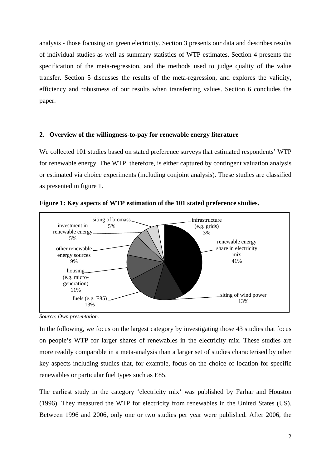analysis - those focusing on green electricity. Section 3 presents our data and describes results of individual studies as well as summary statistics of WTP estimates. Section 4 presents the specification of the meta-regression, and the methods used to judge quality of the value transfer. Section 5 discusses the results of the meta-regression, and explores the validity, efficiency and robustness of our results when transferring values. Section 6 concludes the paper.

# **2. Overview of the willingness-to-pay for renewable energy literature**

We collected 101 studies based on stated preference surveys that estimated respondents' WTP for renewable energy. The WTP, therefore, is either captured by contingent valuation analysis or estimated via choice experiments (including conjoint analysis). These studies are classified as presented in figure 1.



**Figure 1: Key aspects of WTP estimation of the 101 stated preference studies.** 

*Source: Own presentation.* 

In the following, we focus on the largest category by investigating those 43 studies that focus on people's WTP for larger shares of renewables in the electricity mix. These studies are more readily comparable in a meta-analysis than a larger set of studies characterised by other key aspects including studies that, for example, focus on the choice of location for specific renewables or particular fuel types such as E85.

The earliest study in the category 'electricity mix' was published by Farhar and Houston (1996). They measured the WTP for electricity from renewables in the United States (US). Between 1996 and 2006, only one or two studies per year were published. After 2006, the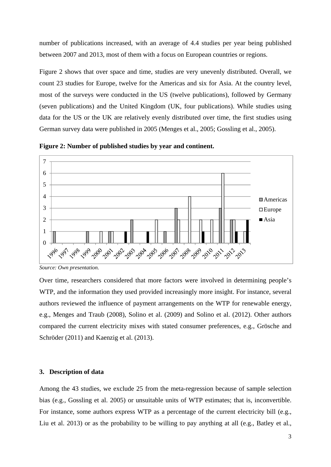number of publications increased, with an average of 4.4 studies per year being published between 2007 and 2013, most of them with a focus on European countries or regions.

Figure 2 shows that over space and time, studies are very unevenly distributed. Overall, we count 23 studies for Europe, twelve for the Americas and six for Asia. At the country level, most of the surveys were conducted in the US (twelve publications), followed by Germany (seven publications) and the United Kingdom (UK, four publications). While studies using data for the US or the UK are relatively evenly distributed over time, the first studies using German survey data were published in 2005 (Menges et al., 2005; Gossling et al., 2005).



**Figure 2: Number of published studies by year and continent.** 

*Source: Own presentation.* 

Over time, researchers considered that more factors were involved in determining people's WTP, and the information they used provided increasingly more insight. For instance, several authors reviewed the influence of payment arrangements on the WTP for renewable energy, e.g., Menges and Traub (2008), Solino et al. (2009) and Solino et al. (2012). Other authors compared the current electricity mixes with stated consumer preferences, e.g., Grösche and Schröder (2011) and Kaenzig et al. (2013).

## **3. Description of data**

Among the 43 studies, we exclude 25 from the meta-regression because of sample selection bias (e.g., Gossling et al. 2005) or unsuitable units of WTP estimates; that is, inconvertible. For instance, some authors express WTP as a percentage of the current electricity bill (e.g., Liu et al. 2013) or as the probability to be willing to pay anything at all (e.g., Batley et al.,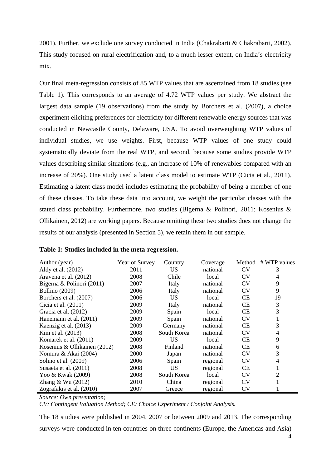2001). Further, we exclude one survey conducted in India (Chakrabarti & Chakrabarti, 2002). This study focused on rural electrification and, to a much lesser extent, on India's electricity mix.

Our final meta-regression consists of 85 WTP values that are ascertained from 18 studies (see Table 1). This corresponds to an average of 4.72 WTP values per study. We abstract the largest data sample (19 observations) from the study by Borchers et al. (2007), a choice experiment eliciting preferences for electricity for different renewable energy sources that was conducted in Newcastle County, Delaware, USA. To avoid overweighting WTP values of individual studies, we use weights. First, because WTP values of one study could systematically deviate from the real WTP, and second, because some studies provide WTP values describing similar situations (e.g., an increase of 10% of renewables compared with an increase of 20%). One study used a latent class model to estimate WTP (Cicia et al., 2011). Estimating a latent class model includes estimating the probability of being a member of one of these classes. To take these data into account, we weight the particular classes with the stated class probability. Furthermore, two studies (Bigerna & Polinori, 2011; Kosenius & Ollikainen, 2012) are working papers. Because omitting these two studies does not change the results of our analysis (presented in Section 5), we retain them in our sample.

| Author (year)                | Year of Survey | Country     | Coverage | Method    | # WTP values |
|------------------------------|----------------|-------------|----------|-----------|--------------|
| Aldy et al. (2012)           | 2011           | <b>US</b>   | national | <b>CV</b> | 3            |
| Aravena et al. (2012)        | 2008           | Chile       | local    | <b>CV</b> | 4            |
| Bigerna & Polinori (2011)    | 2007           | Italy       | national | <b>CV</b> | 9            |
| <b>Bollino</b> (2009)        | 2006           | Italy       | national | <b>CV</b> | 9            |
| Borchers et al. (2007)       | 2006           | US          | local    | CE        | 19           |
| Cicia et al. (2011)          | 2009           | Italy       | national | CE        | 3            |
| Gracia et al. (2012)         | 2009           | Spain       | local    | CE        | 3            |
| Hanemann et al. (2011)       | 2009           | Spain       | national | <b>CV</b> |              |
| Kaenzig et al. (2013)        | 2009           | Germany     | national | CE        | 3            |
| Kim et al. (2013)            | 2008           | South Korea | national | <b>CV</b> | 4            |
| Komarek et al. (2011)        | 2009           | <b>US</b>   | local    | CE        | 9            |
| Kosenius & Ollikainen (2012) | 2008           | Finland     | national | CE        | 6            |
| Nomura & Akai (2004)         | 2000           | Japan       | national | <b>CV</b> | 3            |
| Solino et al. (2009)         | 2006           | Spain       | regional | <b>CV</b> | 4            |
| Susaeta et al. (2011)        | 2008           | US          | regional | CE        |              |
| Yoo & Kwak (2009)            | 2008           | South Korea | local    | <b>CV</b> | 2            |
| Zhang & Wu $(2012)$          | 2010           | China       | regional | <b>CV</b> |              |
| Zografakis et al. (2010)     | 2007           | Greece      | regional | <b>CV</b> |              |

*Source: Own presentation;* 

*CV: Contingent Valuation Method; CE: Choice Experiment / Conjoint Analysis.* 

The 18 studies were published in 2004, 2007 or between 2009 and 2013. The corresponding surveys were conducted in ten countries on three continents (Europe, the Americas and Asia)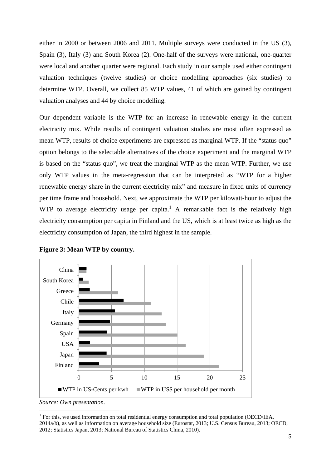either in 2000 or between 2006 and 2011. Multiple surveys were conducted in the US (3), Spain (3), Italy (3) and South Korea (2). One-half of the surveys were national, one-quarter were local and another quarter were regional. Each study in our sample used either contingent valuation techniques (twelve studies) or choice modelling approaches (six studies) to determine WTP. Overall, we collect 85 WTP values, 41 of which are gained by contingent valuation analyses and 44 by choice modelling.

Our dependent variable is the WTP for an increase in renewable energy in the current electricity mix. While results of contingent valuation studies are most often expressed as mean WTP, results of choice experiments are expressed as marginal WTP. If the "status quo" option belongs to the selectable alternatives of the choice experiment and the marginal WTP is based on the "status quo", we treat the marginal WTP as the mean WTP. Further, we use only WTP values in the meta-regression that can be interpreted as "WTP for a higher renewable energy share in the current electricity mix" and measure in fixed units of currency per time frame and household. Next, we approximate the WTP per kilowatt-hour to adjust the WTP to average electricity usage per capita.<sup>1</sup> A remarkable fact is the relatively high electricity consumption per capita in Finland and the US, which is at least twice as high as the electricity consumption of Japan, the third highest in the sample.





*Source: Own presentation.*

<sup>&</sup>lt;sup>1</sup> For this, we used information on total residential energy consumption and total population (OECD/IEA, 2014a/b), as well as information on average household size (Eurostat, 2013; U.S. Census Bureau, 2013; OECD, 2012; Statistics Japan, 2013; National Bureau of Statistics China, 2010).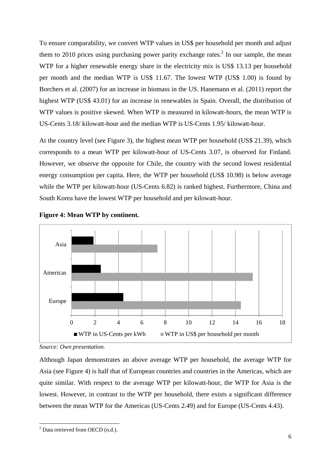To ensure comparability, we convert WTP values in US\$ per household per month and adjust them to 2010 prices using purchasing power parity exchange rates.<sup>2</sup> In our sample, the mean WTP for a higher renewable energy share in the electricity mix is US\$ 13.13 per household per month and the median WTP is US\$ 11.67. The lowest WTP (US\$ 1.00) is found by Borchers et al. (2007) for an increase in biomass in the US. Hanemann et al. (2011) report the highest WTP (US\$ 43.01) for an increase in renewables in Spain. Overall, the distribution of WTP values is positive skewed. When WTP is measured in kilowatt-hours, the mean WTP is US-Cents 3.18/ kilowatt-hour and the median WTP is US-Cents 1.95/ kilowatt-hour.

At the country level (see Figure 3), the highest mean WTP per household (US\$ 21.39), which corresponds to a mean WTP per kilowatt-hour of US-Cents 3.07, is observed for Finland. However, we observe the opposite for Chile, the country with the second lowest residential energy consumption per capita. Here, the WTP per household (US\$ 10.98) is below average while the WTP per kilowatt-hour (US-Cents 6.82) is ranked highest. Furthermore, China and South Korea have the lowest WTP per household and per kilowatt-hour.





Although Japan demonstrates an above average WTP per household, the average WTP for Asia (see Figure 4) is half that of European countries and countries in the Americas, which are quite similar. With respect to the average WTP per kilowatt-hour, the WTP for Asia is the lowest. However, in contrast to the WTP per household, there exists a significant difference between the mean WTP for the Americas (US-Cents 2.49) and for Europe (US-Cents 4.43).

*Source: Own presentation.* 

  $2$  Data retrieved from OECD (n.d.).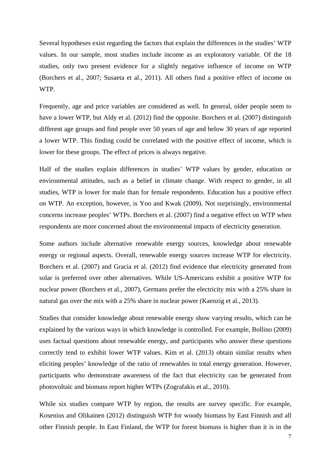Several hypotheses exist regarding the factors that explain the differences in the studies' WTP values. In our sample, most studies include income as an exploratory variable. Of the 18 studies, only two present evidence for a slightly negative influence of income on WTP (Borchers et al., 2007; Susaeta et al., 2011). All others find a positive effect of income on WTP.

Frequently, age and price variables are considered as well. In general, older people seem to have a lower WTP, but Aldy et al. (2012) find the opposite. Borchers et al. (2007) distinguish different age groups and find people over 50 years of age and below 30 years of age reported a lower WTP. This finding could be correlated with the positive effect of income, which is lower for these groups. The effect of prices is always negative.

Half of the studies explain differences in studies' WTP values by gender, education or environmental attitudes, such as a belief in climate change. With respect to gender, in all studies, WTP is lower for male than for female respondents. Education has a positive effect on WTP. An exception, however, is Yoo and Kwak (2009). Not surprisingly, environmental concerns increase peoples' WTPs. Borchers et al. (2007) find a negative effect on WTP when respondents are more concerned about the environmental impacts of electricity generation.

Some authors include alternative renewable energy sources, knowledge about renewable energy or regional aspects. Overall, renewable energy sources increase WTP for electricity. Borchers et al. (2007) and Gracia et al. (2012) find evidence that electricity generated from solar is preferred over other alternatives. While US-Americans exhibit a positive WTP for nuclear power (Borchers et al., 2007), Germans prefer the electricity mix with a 25% share in natural gas over the mix with a 25% share in nuclear power (Kaenzig et al., 2013).

Studies that consider knowledge about renewable energy show varying results, which can be explained by the various ways in which knowledge is controlled. For example, Bollino (2009) uses factual questions about renewable energy, and participants who answer these questions correctly tend to exhibit lower WTP values. Kim et al. (2013) obtain similar results when eliciting peoples' knowledge of the ratio of renewables in total energy generation. However, participants who demonstrate awareness of the fact that electricity can be generated from photovoltaic and biomass report higher WTPs (Zografakis et al., 2010).

While six studies compare WTP by region, the results are survey specific. For example, Kosenius and Olikainen (2012) distinguish WTP for woody biomass by East Finnish and all other Finnish people. In East Finland, the WTP for forest biomass is higher than it is in the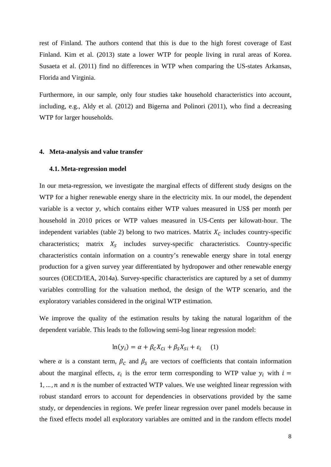rest of Finland. The authors contend that this is due to the high forest coverage of East Finland. Kim et al. (2013) state a lower WTP for people living in rural areas of Korea. Susaeta et al. (2011) find no differences in WTP when comparing the US-states Arkansas, Florida and Virginia.

Furthermore, in our sample, only four studies take household characteristics into account, including, e.g., Aldy et al. (2012) and Bigerna and Polinori (2011), who find a decreasing WTP for larger households.

#### **4. Meta-analysis and value transfer**

# **4.1. Meta-regression model**

In our meta-regression, we investigate the marginal effects of different study designs on the WTP for a higher renewable energy share in the electricity mix. In our model, the dependent variable is a vector  $y$ , which contains either WTP values measured in US\$ per month per household in 2010 prices or WTP values measured in US-Cents per kilowatt-hour. The independent variables (table 2) belong to two matrices. Matrix  $X_c$  includes country-specific characteristics; matrix  $X_S$  includes survey-specific characteristics. Country-specific characteristics contain information on a country's renewable energy share in total energy production for a given survey year differentiated by hydropower and other renewable energy sources (OECD/IEA, 2014a). Survey-specific characteristics are captured by a set of dummy variables controlling for the valuation method, the design of the WTP scenario, and the exploratory variables considered in the original WTP estimation.

We improve the quality of the estimation results by taking the natural logarithm of the dependent variable. This leads to the following semi-log linear regression model:

$$
\ln(y_i) = \alpha + \beta_c X_{Ci} + \beta_s X_{Si} + \varepsilon_i \tag{1}
$$

where  $\alpha$  is a constant term,  $\beta_c$  and  $\beta_s$  are vectors of coefficients that contain information about the marginal effects,  $\varepsilon_i$  is the error term corresponding to WTP value  $y_i$  with  $i =$  $1, \ldots, n$  and  $n$  is the number of extracted WTP values. We use weighted linear regression with robust standard errors to account for dependencies in observations provided by the same study, or dependencies in regions. We prefer linear regression over panel models because in the fixed effects model all exploratory variables are omitted and in the random effects model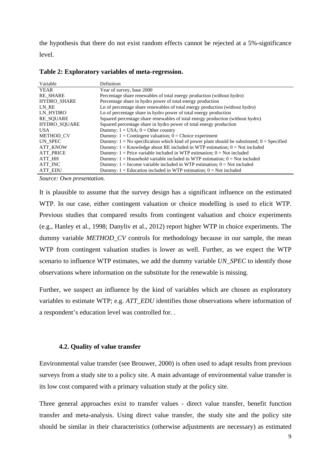the hypothesis that there do not exist random effects cannot be rejected at a 5%-significance level.

| Variable            | Definition                                                                                      |
|---------------------|-------------------------------------------------------------------------------------------------|
| <b>YEAR</b>         | Year of survey, base 2000                                                                       |
| <b>RE SHARE</b>     | Percentage share renewables of total energy production (without hydro)                          |
| <b>HYDRO SHARE</b>  | Percentage share in hydro power of total energy production                                      |
| LN RE               | Ln of percentage share renewables of total energy production (without hydro)                    |
| LN HYDRO            | Ln of percentage share in hydro power of total energy production                                |
| <b>RE SOUARE</b>    | Squared percentage share renewables of total energy production (without hydro)                  |
| <b>HYDRO SOUARE</b> | Squared percentage share in hydro power of total energy production                              |
| USA.                | Dummy: $1 = USA$ ; $0 = Other country$                                                          |
| <b>METHOD CV</b>    | Dummy: $1 =$ Contingent valuation; $0 =$ Choice experiment                                      |
| UN SPEC             | Dummy: $1 = No$ specification which kind of power plant should be substituted; $0 = Specificed$ |
| <b>ATT KNOW</b>     | Dummy: $1 =$ Knowledge about RE included in WTP estimation; $0 =$ Not included                  |
| <b>ATT PRICE</b>    | Dummy: $1 =$ Price variable included in WTP estimation; $0 =$ Not included                      |
| ATT HH              | Dummy: $1 =$ Household variable included in WTP estimation; $0 =$ Not included                  |
| ATT INC             | Dummy: $1 =$ Income variable included in WTP estimation; $0 =$ Not included                     |
| <b>ATT EDU</b>      | Dummy: $1 =$ Education included in WTP estimation; $0 =$ Not included                           |

**Table 2: Exploratory variables of meta-regression.**

*Source: Own presentation.* 

It is plausible to assume that the survey design has a significant influence on the estimated WTP. In our case, either contingent valuation or choice modelling is used to elicit WTP. Previous studies that compared results from contingent valuation and choice experiments (e.g., Hanley et al., 1998; Danyliv et al., 2012) report higher WTP in choice experiments. The dummy variable *METHOD\_CV* controls for methodology because in our sample, the mean WTP from contingent valuation studies is lower as well. Further, as we expect the WTP scenario to influence WTP estimates, we add the dummy variable *UN\_SPEC* to identify those observations where information on the substitute for the renewable is missing.

Further, we suspect an influence by the kind of variables which are chosen as exploratory variables to estimate WTP; e.g. *ATT\_EDU* identifies those observations where information of a respondent's education level was controlled for. .

# **4.2. Quality of value transfer**

Environmental value transfer (see Brouwer, 2000) is often used to adapt results from previous surveys from a study site to a policy site. A main advantage of environmental value transfer is its low cost compared with a primary valuation study at the policy site.

Three general approaches exist to transfer values - direct value transfer, benefit function transfer and meta-analysis. Using direct value transfer, the study site and the policy site should be similar in their characteristics (otherwise adjustments are necessary) as estimated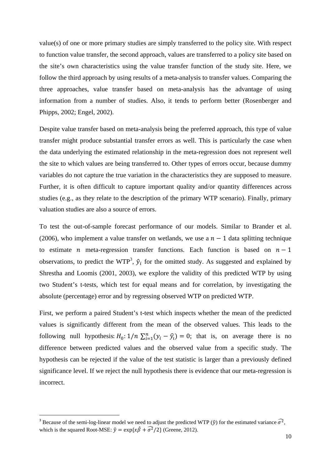value(s) of one or more primary studies are simply transferred to the policy site. With respect to function value transfer, the second approach, values are transferred to a policy site based on the site's own characteristics using the value transfer function of the study site. Here, we follow the third approach by using results of a meta-analysis to transfer values. Comparing the three approaches, value transfer based on meta-analysis has the advantage of using information from a number of studies. Also, it tends to perform better (Rosenberger and Phipps, 2002; Engel, 2002).

Despite value transfer based on meta-analysis being the preferred approach, this type of value transfer might produce substantial transfer errors as well. This is particularly the case when the data underlying the estimated relationship in the meta-regression does not represent well the site to which values are being transferred to. Other types of errors occur, because dummy variables do not capture the true variation in the characteristics they are supposed to measure. Further, it is often difficult to capture important quality and/or quantity differences across studies (e.g., as they relate to the description of the primary WTP scenario). Finally, primary valuation studies are also a source of errors.

To test the out-of-sample forecast performance of our models. Similar to Brander et al. (2006), who implement a value transfer on wetlands, we use a  $n-1$  data splitting technique to estimate *n* meta-regression transfer functions. Each function is based on  $n-1$ observations, to predict the WTP<sup>3</sup>,  $\hat{y}_i$  for the omitted study. As suggested and explained by Shrestha and Loomis (2001, 2003), we explore the validity of this predicted WTP by using two Student's t-tests, which test for equal means and for correlation, by investigating the absolute (percentage) error and by regressing observed WTP on predicted WTP.

First, we perform a paired Student's t-test which inspects whether the mean of the predicted values is significantly different from the mean of the observed values. This leads to the following null hypothesis:  $H_0: 1/n \sum_{i=1}^n (y_i - \hat{y}_i) = 0$ ; that is, on average there is no difference between predicted values and the observed value from a specific study. The hypothesis can be rejected if the value of the test statistic is larger than a previously defined significance level. If we reject the null hypothesis there is evidence that our meta-regression is incorrect.

<sup>&</sup>lt;sup>3</sup> Because of the semi-log-linear model we need to adjust the predicted WTP ( $\hat{y}$ ) for the estimated variance  $\hat{\sigma}^2$ , which is the squared Root-MSE:  $\hat{y} = \exp\{\hat{x} \hat{\beta} + \hat{\sigma}^2/2\}$  (Greene, 2012).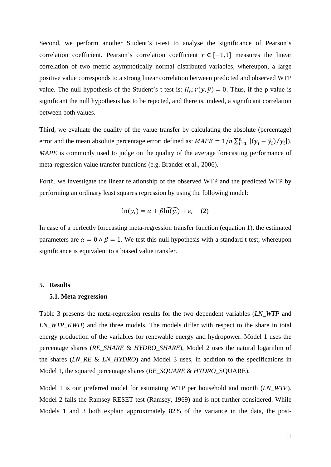Second, we perform another Student's t-test to analyse the significance of Pearson's correlation coefficient. Pearson's correlation coefficient  $r \in [-1,1]$  measures the linear correlation of two metric asymptotically normal distributed variables, whereupon, a large positive value corresponds to a strong linear correlation between predicted and observed WTP value. The null hypothesis of the Student's t-test is:  $H_0: r(y, \hat{y}) = 0$ . Thus, if the p-value is significant the null hypothesis has to be rejected, and there is, indeed, a significant correlation between both values.

Third, we evaluate the quality of the value transfer by calculating the absolute (percentage) error and the mean absolute percentage error; defined as:  $MAPE = 1/n \sum_{i=1}^{n} |(y_i - \hat{y}_i)/y_i|$ . *MAPE* is commonly used to judge on the quality of the average forecasting performance of meta-regression value transfer functions (e.g. Brander et al., 2006).

Forth, we investigate the linear relationship of the observed WTP and the predicted WTP by performing an ordinary least squares regression by using the following model:

$$
\ln(y_i) = \alpha + \beta \widehat{\ln(y_i)} + \varepsilon_i \quad (2)
$$

In case of a perfectly forecasting meta-regression transfer function (equation 1), the estimated parameters are  $\alpha = 0 \wedge \beta = 1$ . We test this null hypothesis with a standard t-test, whereupon significance is equivalent to a biased value transfer.

#### **5. Results**

# **5.1. Meta-regression**

Table 3 presents the meta-regression results for the two dependent variables (*LN\_WTP* and *LN WTP\_KWH*) and the three models. The models differ with respect to the share in total energy production of the variables for renewable energy and hydropower. Model 1 uses the percentage shares (*RE\_SHARE* & *HYDRO\_SHARE*), Model 2 uses the natural logarithm of the shares (*LN\_RE* & *LN\_HYDRO*) and Model 3 uses, in addition to the specifications in Model 1, the squared percentage shares (*RE\_SQUARE* & *HYDRO\_*SQUARE).

Model 1 is our preferred model for estimating WTP per household and month (*LN\_WTP*). Model 2 fails the Ramsey RESET test (Ramsey, 1969) and is not further considered. While Models 1 and 3 both explain approximately 82% of the variance in the data, the post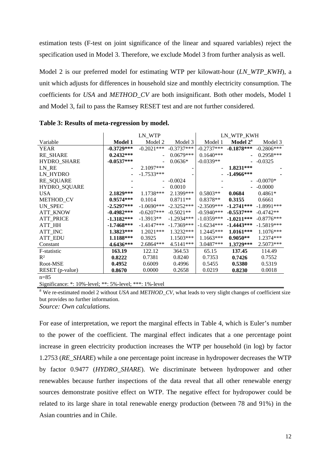estimation tests (F-test on joint significance of the linear and squared variables) reject the specification used in Model 3. Therefore, we exclude Model 3 from further analysis as well.

Model 2 is our preferred model for estimating WTP per kilowatt-hour (*LN\_WTP\_KWH*), a unit which adjusts for differences in household size and monthly electricity consumption. The coefficients for *USA* and *METHOD\_CV* are both insignificant. Both other models, Model 1 and Model 3, fail to pass the Ramsey RESET test and are not further considered.

|                  | LN_WTP         |               | LN_WTP_KWH   |              |                           |              |
|------------------|----------------|---------------|--------------|--------------|---------------------------|--------------|
| Variable         | <b>Model 1</b> | Model 2       | Model 3      | Model 1      | Model 2 <sup>a</sup>      | Model 3      |
| <b>YEAR</b>      | $-0.3729***$   | $-0.2021$ *** | $-0.3737***$ | $-0.2737***$ | $-0.1878***$ $-0.2806***$ |              |
| <b>RE_SHARE</b>  | $0.2432***$    |               | $0.0679***$  | $0.1640***$  | $\sim$                    | $0.2958***$  |
| HYDRO_SHARE      | $-0.0537***$   |               | $0.0636*$    | $-0.0339**$  |                           | $-0.0325$    |
| LN_RE            | ٠              | $2.1097***$   |              |              | $1.8231***$               |              |
| LN_HYDRO         |                | $-1.7533***$  |              |              | $-1.4966***$              |              |
| RE_SQUARE        |                |               | $-0.0024$    |              |                           | $-0.0070*$   |
| HYDRO_SQUARE     |                |               | 0.0010       |              |                           | $-0.0000$    |
| USA              | $2.1829***$    | $1.1738***$   | $2.1399***$  | $0.5803**$   | 0.0684                    | $0.4861*$    |
| METHOD_CV        | $0.9574***$    | 0.1014        | $0.8711**$   | $0.8378**$   | 0.3155                    | 0.6661       |
| UN_SPEC          | $-2.5297***$   | $-1.0690***$  | $-2.3252***$ | $-2.3509***$ | $-1.2741***$              | $-1.8991***$ |
| <b>ATT_KNOW</b>  | $-0.4982***$   | $-0.6207***$  | $-0.5021**$  | $-0.5940***$ | $-0.5537***$              | $-0.4742**$  |
| <b>ATT_PRICE</b> | $-1.3182***$   | $-1.3913**$   | $-1.2934***$ | $-1.0359***$ | $-1.0211***$              | $-0.8776***$ |
| ATT_HH           | $-1.7468***$   | $-1.4147***$  | $-1.7369***$ | $-1.6234***$ | $-1.4443***$              | $-1.5819***$ |
| ATT_INC          | $1.3823***$    | $1.2021***$   | $1.3232***$  | $1.2445***$  | $1.0161***$               | 1.1076***    |
| <b>ATT_EDU</b>   | $1.1188***$    | 0.3925        | $1.1503***$  | $1.1663***$  | $0.9050**$                | 1.2374***    |
| Constant         | 4.6436***      | $2.6864***$   | 4.5141***    | $3.0487***$  | $1.3729***$               | 2.5073***    |
| F-statistic      | 163.19         | 122.12        | 364.53       | 65.15        | 137.45                    | 114.49       |
| $R^2$            | 0.8222         | 0.7381        | 0.8240       | 0.7353       | 0.7426                    | 0.7552       |
| Root-MSE         | 0.4952         | 0.6009        | 0.4996       | 0.5455       | 0.5380                    | 0.5319       |
| RESET (p-value)  | 0.8670         | 0.0000        | 0.2658       | 0.0219       | 0.8230                    | 0.0018       |
| $n = 85$         |                |               |              |              |                           |              |

**Table 3: Results of meta-regression by model.** 

Significance: \*: 10%-level; \*\*: 5%-level; \*\*\*: 1%-level

<sup>a</sup> We re-estimated model 2 without *USA* and *METHOD\_CV*, what leads to very slight changes of coefficient size but provides no further information.

*Source: Own calculations.* 

For ease of interpretation, we report the marginal effects in Table 4, which is Euler's number to the power of the coefficient. The marginal effect indicates that a one percentage point increase in green electricity production increases the WTP per household (in log) by factor 1.2753 (*RE\_SHARE*) while a one percentage point increase in hydropower decreases the WTP by factor 0.9477 (*HYDRO\_SHARE*). We discriminate between hydropower and other renewables because further inspections of the data reveal that all other renewable energy sources demonstrate positive effect on WTP. The negative effect for hydropower could be related to its large share in total renewable energy production (between 78 and 91%) in the Asian countries and in Chile.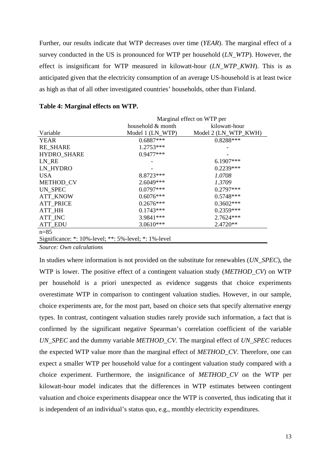Further, our results indicate that WTP decreases over time (*YEAR*). The marginal effect of a survey conducted in the US is pronounced for WTP per household (*LN\_WTP*). However, the effect is insignificant for WTP measured in kilowatt-hour (*LN\_WTP\_KWH*). This is as anticipated given that the electricity consumption of an average US-household is at least twice as high as that of all other investigated countries' households, other than Finland.

|                                                                | Marginal effect on WTP per |                      |  |
|----------------------------------------------------------------|----------------------------|----------------------|--|
|                                                                | household & month          | kilowatt-hour        |  |
| Variable                                                       | Model 1 (LN_WTP)           | Model 2 (LN_WTP_KWH) |  |
| <b>YEAR</b>                                                    | $0.6887***$                | $0.8288***$          |  |
| <b>RE SHARE</b>                                                | $1.2753***$                |                      |  |
| HYDRO_SHARE                                                    | $0.9477***$                |                      |  |
| LN RE                                                          |                            | 6.1907***            |  |
| LN_HYDRO                                                       |                            | $0.2239***$          |  |
| USA.                                                           | 8.8723***                  | 1.0708               |  |
| METHOD_CV                                                      | 2.6049***                  | 1.3709               |  |
| UN SPEC                                                        | $0.0797***$                | $0.2797***$          |  |
| <b>ATT KNOW</b>                                                | $0.6076***$                | $0.5748***$          |  |
| <b>ATT PRICE</b>                                               | $0.2676***$                | $0.3602***$          |  |
| ATT HH                                                         | $0.1743***$                | $0.2359***$          |  |
| ATT_INC                                                        | 3.9841***                  | 2.7624 ***           |  |
| <b>ATT_EDU</b>                                                 | 3.0610***                  | 2.4720**             |  |
| $n = 85$                                                       |                            |                      |  |
| Significance: $*$ : 10%-level; $**$ : 5%-level; $*$ : 1%-level |                            |                      |  |

| Table 4: Marginal effects on WTP. |  |  |
|-----------------------------------|--|--|
|-----------------------------------|--|--|

*Source: Own calculations* 

In studies where information is not provided on the substitute for renewables (*UN\_SPEC*), the WTP is lower. The positive effect of a contingent valuation study (*METHOD\_CV*) on WTP per household is a priori unexpected as evidence suggests that choice experiments overestimate WTP in comparison to contingent valuation studies. However, in our sample, choice experiments are, for the most part, based on choice sets that specify alternative energy types. In contrast, contingent valuation studies rarely provide such information, a fact that is confirmed by the significant negative Spearman's correlation coefficient of the variable *UN\_SPEC* and the dummy variable *METHOD\_CV.* The marginal effect of *UN\_SPEC* reduces the expected WTP value more than the marginal effect of *METHOD\_CV*. Therefore, one can expect a smaller WTP per household value for a contingent valuation study compared with a choice experiment. Furthermore, the insignificance of *METHOD\_CV* on the WTP per kilowatt-hour model indicates that the differences in WTP estimates between contingent valuation and choice experiments disappear once the WTP is converted, thus indicating that it is independent of an individual's status quo, e.g., monthly electricity expenditures.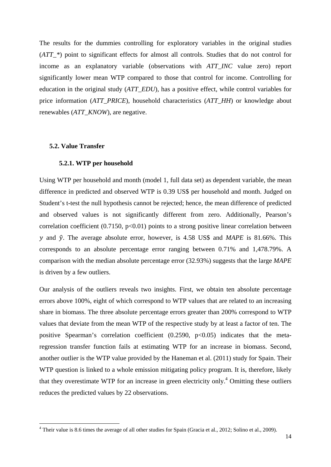The results for the dummies controlling for exploratory variables in the original studies (*ATT\_\**) point to significant effects for almost all controls. Studies that do not control for income as an explanatory variable (observations with *ATT\_INC* value zero) report significantly lower mean WTP compared to those that control for income. Controlling for education in the original study (*ATT\_EDU*), has a positive effect, while control variables for price information (*ATT\_PRICE*), household characteristics (*ATT\_HH*) or knowledge about renewables (*ATT\_KNOW*), are negative.

# **5.2. Value Transfer**

# **5.2.1. WTP per household**

Using WTP per household and month (model 1, full data set) as dependent variable, the mean difference in predicted and observed WTP is 0.39 US\$ per household and month. Judged on Student's t-test the null hypothesis cannot be rejected; hence, the mean difference of predicted and observed values is not significantly different from zero. Additionally, Pearson's correlation coefficient  $(0.7150, p<0.01)$  points to a strong positive linear correlation between  $\nu$  and  $\hat{\nu}$ . The average absolute error, however, is 4.58 US\$ and *MAPE* is 81.66%. This corresponds to an absolute percentage error ranging between 0.71% and 1,478.79%. A comparison with the median absolute percentage error (32.93%) suggests that the large *MAPE* is driven by a few outliers.

Our analysis of the outliers reveals two insights. First, we obtain ten absolute percentage errors above 100%, eight of which correspond to WTP values that are related to an increasing share in biomass. The three absolute percentage errors greater than 200% correspond to WTP values that deviate from the mean WTP of the respective study by at least a factor of ten. The positive Spearman's correlation coefficient  $(0.2590, p<0.05)$  indicates that the metaregression transfer function fails at estimating WTP for an increase in biomass. Second, another outlier is the WTP value provided by the Haneman et al. (2011) study for Spain. Their WTP question is linked to a whole emission mitigating policy program. It is, therefore, likely that they overestimate WTP for an increase in green electricity only.<sup>4</sup> Omitting these outliers reduces the predicted values by 22 observations.

<sup>&</sup>lt;sup>4</sup> Their value is 8.6 times the average of all other studies for Spain (Gracia et al., 2012; Solino et al., 2009).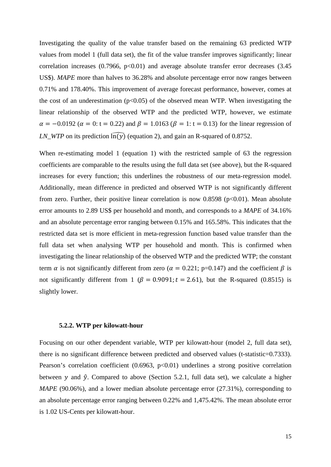Investigating the quality of the value transfer based on the remaining 63 predicted WTP values from model 1 (full data set), the fit of the value transfer improves significantly; linear correlation increases  $(0.7966, p<0.01)$  and average absolute transfer error decreases  $(3.45)$ US\$). *MAPE* more than halves to 36.28% and absolute percentage error now ranges between 0.71% and 178.40%. This improvement of average forecast performance, however, comes at the cost of an underestimation ( $p<0.05$ ) of the observed mean WTP. When investigating the linear relationship of the observed WTP and the predicted WTP, however, we estimate  $\alpha = -0.0192$  ( $\alpha = 0$ : t = 0.22) and  $\beta = 1.0163$  ( $\beta = 1$ : t = 0.13) for the linear regression of *LN\_WTP* on its prediction  $\widehat{\ln(y)}$  (equation 2), and gain an R-squared of 0.8752.

When re-estimating model 1 (equation 1) with the restricted sample of 63 the regression coefficients are comparable to the results using the full data set (see above), but the R-squared increases for every function; this underlines the robustness of our meta-regression model. Additionally, mean difference in predicted and observed WTP is not significantly different from zero. Further, their positive linear correlation is now  $0.8598$  ( $p<0.01$ ). Mean absolute error amounts to 2.89 US\$ per household and month, and corresponds to a *MAPE* of 34.16% and an absolute percentage error ranging between 0.15% and 165.58%. This indicates that the restricted data set is more efficient in meta-regression function based value transfer than the full data set when analysing WTP per household and month. This is confirmed when investigating the linear relationship of the observed WTP and the predicted WTP; the constant term  $\alpha$  is not significantly different from zero ( $\alpha = 0.221$ ; p=0.147) and the coefficient  $\beta$  is not significantly different from 1 ( $\beta = 0.9091$ ;  $t = 2.61$ ), but the R-squared (0.8515) is slightly lower.

#### **5.2.2. WTP per kilowatt-hour**

Focusing on our other dependent variable, WTP per kilowatt-hour (model 2, full data set), there is no significant difference between predicted and observed values (t-statistic=0.7333). Pearson's correlation coefficient  $(0.6963, p<0.01)$  underlines a strong positive correlation between y and  $\hat{y}$ . Compared to above (Section 5.2.1, full data set), we calculate a higher *MAPE* (90.06%), and a lower median absolute percentage error (27.31%), corresponding to an absolute percentage error ranging between 0.22% and 1,475.42%. The mean absolute error is 1.02 US-Cents per kilowatt-hour.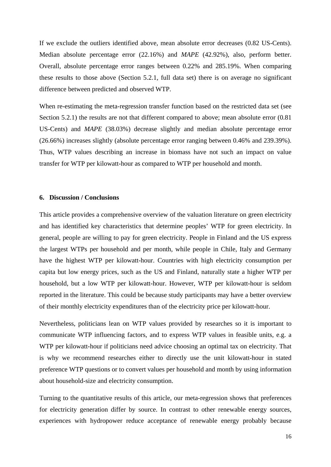If we exclude the outliers identified above, mean absolute error decreases (0.82 US-Cents). Median absolute percentage error (22.16%) and *MAPE* (42.92%), also, perform better. Overall, absolute percentage error ranges between 0.22% and 285.19%. When comparing these results to those above (Section 5.2.1, full data set) there is on average no significant difference between predicted and observed WTP.

When re-estimating the meta-regression transfer function based on the restricted data set (see Section 5.2.1) the results are not that different compared to above; mean absolute error  $(0.81)$ US-Cents) and *MAPE* (38.03%) decrease slightly and median absolute percentage error (26.66%) increases slightly (absolute percentage error ranging between 0.46% and 239.39%). Thus, WTP values describing an increase in biomass have not such an impact on value transfer for WTP per kilowatt-hour as compared to WTP per household and month.

# **6. Discussion / Conclusions**

This article provides a comprehensive overview of the valuation literature on green electricity and has identified key characteristics that determine peoples' WTP for green electricity. In general, people are willing to pay for green electricity. People in Finland and the US express the largest WTPs per household and per month, while people in Chile, Italy and Germany have the highest WTP per kilowatt-hour. Countries with high electricity consumption per capita but low energy prices, such as the US and Finland, naturally state a higher WTP per household, but a low WTP per kilowatt-hour. However, WTP per kilowatt-hour is seldom reported in the literature. This could be because study participants may have a better overview of their monthly electricity expenditures than of the electricity price per kilowatt-hour.

Nevertheless, politicians lean on WTP values provided by researches so it is important to communicate WTP influencing factors, and to express WTP values in feasible units, e.g. a WTP per kilowatt-hour if politicians need advice choosing an optimal tax on electricity. That is why we recommend researches either to directly use the unit kilowatt-hour in stated preference WTP questions or to convert values per household and month by using information about household-size and electricity consumption.

Turning to the quantitative results of this article, our meta-regression shows that preferences for electricity generation differ by source. In contrast to other renewable energy sources, experiences with hydropower reduce acceptance of renewable energy probably because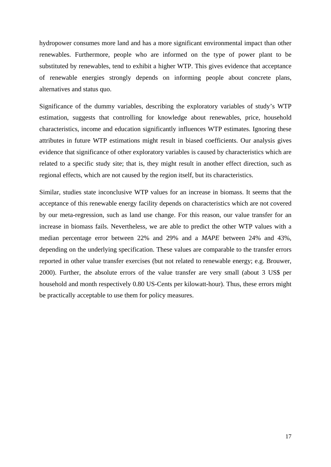hydropower consumes more land and has a more significant environmental impact than other renewables. Furthermore, people who are informed on the type of power plant to be substituted by renewables, tend to exhibit a higher WTP. This gives evidence that acceptance of renewable energies strongly depends on informing people about concrete plans, alternatives and status quo.

Significance of the dummy variables, describing the exploratory variables of study's WTP estimation, suggests that controlling for knowledge about renewables, price, household characteristics, income and education significantly influences WTP estimates. Ignoring these attributes in future WTP estimations might result in biased coefficients. Our analysis gives evidence that significance of other exploratory variables is caused by characteristics which are related to a specific study site; that is, they might result in another effect direction, such as regional effects, which are not caused by the region itself, but its characteristics.

Similar, studies state inconclusive WTP values for an increase in biomass. It seems that the acceptance of this renewable energy facility depends on characteristics which are not covered by our meta-regression, such as land use change. For this reason, our value transfer for an increase in biomass fails. Nevertheless, we are able to predict the other WTP values with a median percentage error between 22% and 29% and a *MAPE* between 24% and 43%, depending on the underlying specification. These values are comparable to the transfer errors reported in other value transfer exercises (but not related to renewable energy; e.g. Brouwer, 2000). Further, the absolute errors of the value transfer are very small (about 3 US\$ per household and month respectively 0.80 US-Cents per kilowatt-hour). Thus, these errors might be practically acceptable to use them for policy measures.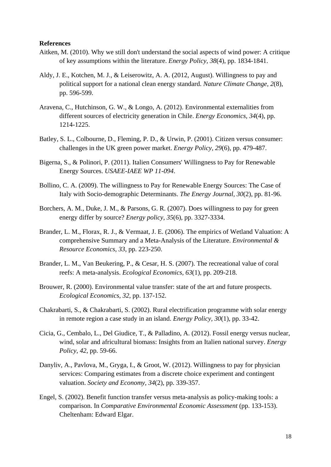# **References**

- Aitken, M. (2010). Why we still don't understand the social aspects of wind power: A critique of key assumptions within the literature. *Energy Policy, 38*(4), pp. 1834-1841.
- Aldy, J. E., Kotchen, M. J., & Leiserowitz, A. A. (2012, August). Willingness to pay and political support for a national clean energy standard. *Nature Climate Change, 2*(8), pp. 596-599.
- Aravena, C., Hutchinson, G. W., & Longo, A. (2012). Environmental externalities from different sources of electricity generation in Chile. *Energy Economics, 34*(4), pp. 1214-1225.
- Batley, S. L., Colbourne, D., Fleming, P. D., & Urwin, P. (2001). Citizen versus consumer: challenges in the UK green power market. *Energy Policy, 29*(6), pp. 479-487.
- Bigerna, S., & Polinori, P. (2011). Italien Consumers' Willingness to Pay for Renewable Energy Sources. *USAEE-IAEE WP 11-094*.
- Bollino, C. A. (2009). The willingness to Pay for Renewable Energy Sources: The Case of Italy with Socio-demographic Determinants. *The Energy Journal, 30*(2), pp. 81-96.
- Borchers, A. M., Duke, J. M., & Parsons, G. R. (2007). Does willingness to pay for green energy differ by source? *Energy policy, 35*(6), pp. 3327-3334.
- Brander, L. M., Florax, R. J., & Vermaat, J. E. (2006). The empirics of Wetland Valuation: A comprehensive Summary and a Meta-Analysis of the Literature. *Environmental & Resource Economics, 33*, pp. 223-250.
- Brander, L. M., Van Beukering, P., & Cesar, H. S. (2007). The recreational value of coral reefs: A meta-analysis. *Ecological Economics, 63*(1), pp. 209-218.
- Brouwer, R. (2000). Environmental value transfer: state of the art and future prospects. *Ecological Economics, 32*, pp. 137-152.
- Chakrabarti, S., & Chakrabarti, S. (2002). Rural electrification programme with solar energy in remote region a case study in an island. *Energy Policy, 30*(1), pp. 33-42.
- Cicia, G., Cembalo, L., Del Giudice, T., & Palladino, A. (2012). Fossil energy versus nuclear, wind, solar and africultural biomass: Insights from an Italien national survey. *Energy Policy, 42*, pp. 59-66.
- Danyliv, A., Pavlova, M., Gryga, I., & Groot, W. (2012). Willingness to pay for physician services: Comparing estimates from a discrete choice experiment and contingent valuation. *Society and Economy, 34*(2), pp. 339-357.
- Engel, S. (2002). Benefit function transfer versus meta-analysis as policy-making tools: a comparison. In *Comparative Environmental Economic Assessment* (pp. 133-153). Cheltenham: Edward Elgar.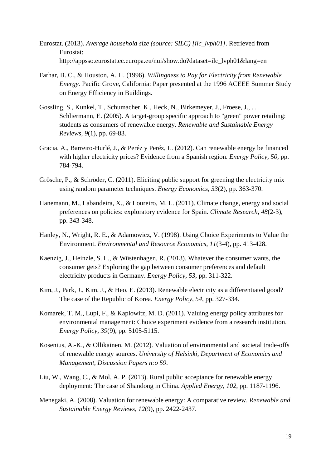- Eurostat. (2013). *Average household size (source: SILC) [ilc\_lvph01]*. Retrieved from Eurostat: http://appsso.eurostat.ec.europa.eu/nui/show.do?dataset=ilc\_lvph01&lang=en
- Farhar, B. C., & Houston, A. H. (1996). *Willingness to Pay for Electricity from Renewable Energy.* Pacific Grove, California: Paper presented at the 1996 ACEEE Summer Study on Energy Efficiency in Buildings.
- Gossling, S., Kunkel, T., Schumacher, K., Heck, N., Birkemeyer, J., Froese, J., . . . Schliermann, E. (2005). A target-group specific approach to "green" power retailing: students as consumers of renewable energy. *Renewable and Sustainable Energy Reviews, 9*(1), pp. 69-83.
- Gracia, A., Barreiro-Hurlé, J., & Peréz y Peréz, L. (2012). Can renewable energy be financed with higher electricity prices? Evidence from a Spanish region. *Energy Policy, 50*, pp. 784-794.
- Grösche, P., & Schröder, C. (2011). Eliciting public support for greening the electricity mix using random parameter techniques. *Energy Economics, 33*(2), pp. 363-370.
- Hanemann, M., Labandeira, X., & Loureiro, M. L. (2011). Climate change, energy and social preferences on policies: exploratory evidence for Spain. *Climate Research, 48*(2-3), pp. 343-348.
- Hanley, N., Wright, R. E., & Adamowicz, V. (1998). Using Choice Experiments to Value the Environment. *Environmental and Resource Economics, 11*(3-4), pp. 413-428.
- Kaenzig, J., Heinzle, S. L., & Wüstenhagen, R. (2013). Whatever the consumer wants, the consumer gets? Exploring the gap between consumer preferences and default electricity products in Germany. *Energy Policy, 53*, pp. 311-322.
- Kim, J., Park, J., Kim, J., & Heo, E. (2013). Renewable electricity as a differentiated good? The case of the Republic of Korea. *Energy Policy, 54*, pp. 327-334.
- Komarek, T. M., Lupi, F., & Kaplowitz, M. D. (2011). Valuing energy policy attributes for environmental management: Choice experiment evidence from a research institution. *Energy Policy, 39*(9), pp. 5105-5115.
- Kosenius, A.-K., & Ollikainen, M. (2012). Valuation of environmental and societal trade-offs of renewable energy sources. *University of Helsinki, Department of Economics and Management, Discussion Papers n:o 59*.
- Liu, W., Wang, C., & Mol, A. P. (2013). Rural public acceptance for renewable energy deployment: The case of Shandong in China. *Applied Energy, 102*, pp. 1187-1196.
- Menegaki, A. (2008). Valuation for renewable energy: A comparative review. *Renewable and Sustainable Energy Reviews, 12*(9), pp. 2422-2437.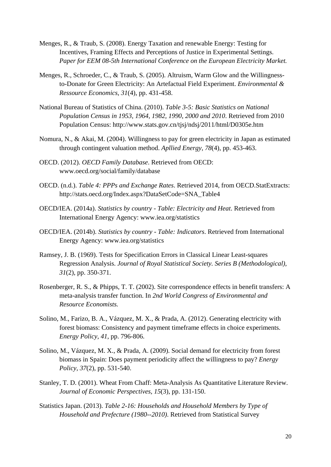- Menges, R., & Traub, S. (2008). Energy Taxation and renewable Energy: Testing for Incentives, Framing Effects and Perceptions of Justice in Experimental Settings. *Paper for EEM 08-5th International Conference on the European Electricity Market.*
- Menges, R., Schroeder, C., & Traub, S. (2005). Altruism, Warm Glow and the Willingnessto-Donate for Green Electricity: An Artefactual Field Experiment. *Environmental & Ressource Economics, 31*(4), pp. 431-458.
- National Bureau of Statistics of China. (2010). *Table 3-5: Basic Statistics on National Population Census in 1953, 1964, 1982, 1990, 2000 and 2010*. Retrieved from 2010 Population Census: http://www.stats.gov.cn/tjsj/ndsj/2011/html/D0305e.htm
- Nomura, N., & Akai, M. (2004). Willingness to pay for green electricity in Japan as estimated through contingent valuation method. *Apllied Energy, 78*(4), pp. 453-463.
- OECD. (2012). *OECD Family Database*. Retrieved from OECD: www.oecd.org/social/family/database
- OECD. (n.d.). *Table 4: PPPs and Exchange Rates*. Retrieved 2014, from OECD.StatExtracts: http://stats.oecd.org/Index.aspx?DataSetCode=SNA\_Table4
- OECD/IEA. (2014a). *Statistics by country Table: Electricity and Heat*. Retrieved from International Energy Agency: www.iea.org/statistics
- OECD/IEA. (2014b). *Statistics by country Table: Indicators*. Retrieved from International Energy Agency: www.iea.org/statistics
- Ramsey, J. B. (1969). Tests for Specification Errors in Classical Linear Least-squares Regression Analysis. *Journal of Royal Statistical Society. Series B (Methodological), 31*(2), pp. 350-371.
- Rosenberger, R. S., & Phipps, T. T. (2002). Site correspondence effects in benefit transfers: A meta-analysis transfer function. In *2nd World Congress of Environmental and Resource Economists.*
- Solino, M., Farizo, B. A., Vázquez, M. X., & Prada, A. (2012). Generating electricity with forest biomass: Consistency and payment timeframe effects in choice experiments. *Energy Policy, 41*, pp. 796-806.
- Solino, M., Vázquez, M. X., & Prada, A. (2009). Social demand for electricity from forest biomass in Spain: Does payment periodicity affect the willingness to pay? *Energy Policy, 37*(2), pp. 531-540.
- Stanley, T. D. (2001). Wheat From Chaff: Meta-Analysis As Quantitative Literature Review. *Journal of Economic Perspectives, 15*(3), pp. 131-150.
- Statistics Japan. (2013). *Table 2-16: Households and Household Members by Type of Household and Prefecture (1980--2010)*. Retrieved from Statistical Survey